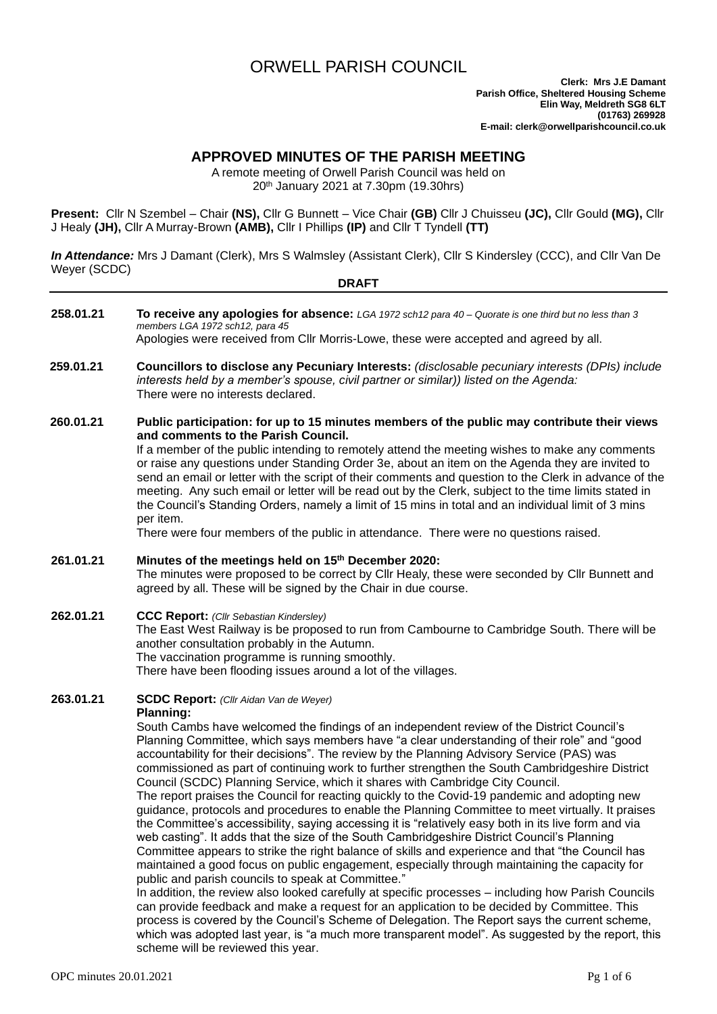# ORWELL PARISH COUNCIL

# **APPROVED MINUTES OF THE PARISH MEETING**

A remote meeting of Orwell Parish Council was held on 20th January 2021 at 7.30pm (19.30hrs)

**Present:** Cllr N Szembel – Chair **(NS),** Cllr G Bunnett – Vice Chair **(GB)** Cllr J Chuisseu **(JC),** Cllr Gould **(MG),** Cllr J Healy **(JH),** Cllr A Murray-Brown **(AMB),** Cllr I Phillips **(IP)** and Cllr T Tyndell **(TT)**

*In Attendance:* Mrs J Damant (Clerk), Mrs S Walmsley (Assistant Clerk), Cllr S Kindersley (CCC), and Cllr Van De Weyer (SCDC)

| Wever (SUDU) | <b>DRAFT</b>                                                                                                                                                                                                                                                                                                                                                                                                                                                                                                                                                                                                                                                                                                                                                                                                                                                                                                                                                                                                                                                                                                                                                                                                                                                                                                                                                                                                                                                                                                                                                                                                                        |  |  |  |  |
|--------------|-------------------------------------------------------------------------------------------------------------------------------------------------------------------------------------------------------------------------------------------------------------------------------------------------------------------------------------------------------------------------------------------------------------------------------------------------------------------------------------------------------------------------------------------------------------------------------------------------------------------------------------------------------------------------------------------------------------------------------------------------------------------------------------------------------------------------------------------------------------------------------------------------------------------------------------------------------------------------------------------------------------------------------------------------------------------------------------------------------------------------------------------------------------------------------------------------------------------------------------------------------------------------------------------------------------------------------------------------------------------------------------------------------------------------------------------------------------------------------------------------------------------------------------------------------------------------------------------------------------------------------------|--|--|--|--|
| 258.01.21    | To receive any apologies for absence: LGA 1972 sch12 para 40 - Quorate is one third but no less than 3<br>members LGA 1972 sch12, para 45<br>Apologies were received from Cllr Morris-Lowe, these were accepted and agreed by all.                                                                                                                                                                                                                                                                                                                                                                                                                                                                                                                                                                                                                                                                                                                                                                                                                                                                                                                                                                                                                                                                                                                                                                                                                                                                                                                                                                                                  |  |  |  |  |
| 259.01.21    | Councillors to disclose any Pecuniary Interests: (disclosable pecuniary interests (DPIs) include<br>interests held by a member's spouse, civil partner or similar)) listed on the Agenda:<br>There were no interests declared.                                                                                                                                                                                                                                                                                                                                                                                                                                                                                                                                                                                                                                                                                                                                                                                                                                                                                                                                                                                                                                                                                                                                                                                                                                                                                                                                                                                                      |  |  |  |  |
| 260.01.21    | Public participation: for up to 15 minutes members of the public may contribute their views<br>and comments to the Parish Council.<br>If a member of the public intending to remotely attend the meeting wishes to make any comments<br>or raise any questions under Standing Order 3e, about an item on the Agenda they are invited to<br>send an email or letter with the script of their comments and question to the Clerk in advance of the<br>meeting. Any such email or letter will be read out by the Clerk, subject to the time limits stated in<br>the Council's Standing Orders, namely a limit of 15 mins in total and an individual limit of 3 mins<br>per item.<br>There were four members of the public in attendance. There were no questions raised.                                                                                                                                                                                                                                                                                                                                                                                                                                                                                                                                                                                                                                                                                                                                                                                                                                                               |  |  |  |  |
| 261.01.21    | Minutes of the meetings held on 15 <sup>th</sup> December 2020:<br>The minutes were proposed to be correct by CIIr Healy, these were seconded by CIIr Bunnett and<br>agreed by all. These will be signed by the Chair in due course.                                                                                                                                                                                                                                                                                                                                                                                                                                                                                                                                                                                                                                                                                                                                                                                                                                                                                                                                                                                                                                                                                                                                                                                                                                                                                                                                                                                                |  |  |  |  |
| 262.01.21    | <b>CCC Report:</b> (Cllr Sebastian Kindersley)<br>The East West Railway is be proposed to run from Cambourne to Cambridge South. There will be<br>another consultation probably in the Autumn.<br>The vaccination programme is running smoothly.<br>There have been flooding issues around a lot of the villages.                                                                                                                                                                                                                                                                                                                                                                                                                                                                                                                                                                                                                                                                                                                                                                                                                                                                                                                                                                                                                                                                                                                                                                                                                                                                                                                   |  |  |  |  |
| 263.01.21    | <b>SCDC Report:</b> (Cllr Aidan Van de Weyer)<br><b>Planning:</b><br>South Cambs have welcomed the findings of an independent review of the District Council's<br>Planning Committee, which says members have "a clear understanding of their role" and "good<br>accountability for their decisions". The review by the Planning Advisory Service (PAS) was<br>commissioned as part of continuing work to further strengthen the South Cambridgeshire District<br>Council (SCDC) Planning Service, which it shares with Cambridge City Council.<br>The report praises the Council for reacting quickly to the Covid-19 pandemic and adopting new<br>guidance, protocols and procedures to enable the Planning Committee to meet virtually. It praises<br>the Committee's accessibility, saying accessing it is "relatively easy both in its live form and via<br>web casting". It adds that the size of the South Cambridgeshire District Council's Planning<br>Committee appears to strike the right balance of skills and experience and that "the Council has<br>maintained a good focus on public engagement, especially through maintaining the capacity for<br>public and parish councils to speak at Committee."<br>In addition, the review also looked carefully at specific processes - including how Parish Councils<br>can provide feedback and make a request for an application to be decided by Committee. This<br>process is covered by the Council's Scheme of Delegation. The Report says the current scheme,<br>which was adopted last year, is "a much more transparent model". As suggested by the report, this |  |  |  |  |

scheme will be reviewed this year.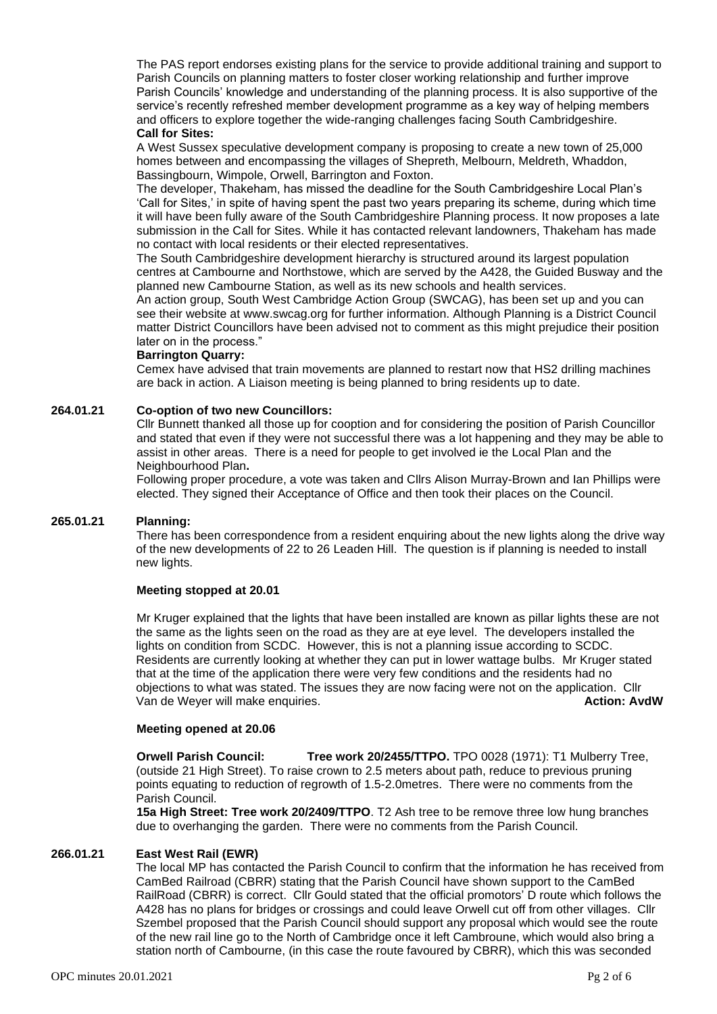The PAS report endorses existing plans for the service to provide additional training and support to Parish Councils on planning matters to foster closer working relationship and further improve Parish Councils' knowledge and understanding of the planning process. It is also supportive of the service's recently refreshed member development programme as a key way of helping members and officers to explore together the wide-ranging challenges facing South Cambridgeshire. **Call for Sites:**

A West Sussex speculative development company is proposing to create a new town of 25,000 homes between and encompassing the villages of Shepreth, Melbourn, Meldreth, Whaddon, Bassingbourn, Wimpole, Orwell, Barrington and Foxton.

The developer, Thakeham, has missed the deadline for the South Cambridgeshire Local Plan's 'Call for Sites,' in spite of having spent the past two years preparing its scheme, during which time it will have been fully aware of the South Cambridgeshire Planning process. It now proposes a late submission in the Call for Sites. While it has contacted relevant landowners, Thakeham has made no contact with local residents or their elected representatives.

The South Cambridgeshire development hierarchy is structured around its largest population centres at Cambourne and Northstowe, which are served by the A428, the Guided Busway and the planned new Cambourne Station, as well as its new schools and health services.

An action group, South West Cambridge Action Group (SWCAG), has been set up and you can see their website at [www.swcag.org](http://www.swcag.org/) for further information. Although Planning is a District Council matter District Councillors have been advised not to comment as this might prejudice their position later on in the process."

## **Barrington Quarry:**

Cemex have advised that train movements are planned to restart now that HS2 drilling machines are back in action. A Liaison meeting is being planned to bring residents up to date.

## **264.01.21 Co-option of two new Councillors:**

Cllr Bunnett thanked all those up for cooption and for considering the position of Parish Councillor and stated that even if they were not successful there was a lot happening and they may be able to assist in other areas. There is a need for people to get involved ie the Local Plan and the Neighbourhood Plan**.**

Following proper procedure, a vote was taken and Cllrs Alison Murray-Brown and Ian Phillips were elected. They signed their Acceptance of Office and then took their places on the Council.

## **265.01.21 Planning:**

There has been correspondence from a resident enquiring about the new lights along the drive way of the new developments of 22 to 26 Leaden Hill. The question is if planning is needed to install new lights.

## **Meeting stopped at 20.01**

Mr Kruger explained that the lights that have been installed are known as pillar lights these are not the same as the lights seen on the road as they are at eye level. The developers installed the lights on condition from SCDC. However, this is not a planning issue according to SCDC. Residents are currently looking at whether they can put in lower wattage bulbs. Mr Kruger stated that at the time of the application there were very few conditions and the residents had no objections to what was stated. The issues they are now facing were not on the application. Cllr Van de Weyer will make enquiries. **Action: AvdW**

## **Meeting opened at 20.06**

**Orwell Parish Council: Tree work 20/2455/TTPO.** TPO 0028 (1971): T1 Mulberry Tree, (outside 21 High Street). To raise crown to 2.5 meters about path, reduce to previous pruning points equating to reduction of regrowth of 1.5-2.0metres. There were no comments from the Parish Council.

**15a High Street: Tree work 20/2409/TTPO**. T2 Ash tree to be remove three low hung branches due to overhanging the garden. There were no comments from the Parish Council.

## **266.01.21 East West Rail (EWR)**

The local MP has contacted the Parish Council to confirm that the information he has received from CamBed Railroad (CBRR) stating that the Parish Council have shown support to the CamBed RailRoad (CBRR) is correct. Cllr Gould stated that the official promotors' D route which follows the A428 has no plans for bridges or crossings and could leave Orwell cut off from other villages. Cllr Szembel proposed that the Parish Council should support any proposal which would see the route of the new rail line go to the North of Cambridge once it left Cambroune, which would also bring a station north of Cambourne, (in this case the route favoured by CBRR), which this was seconded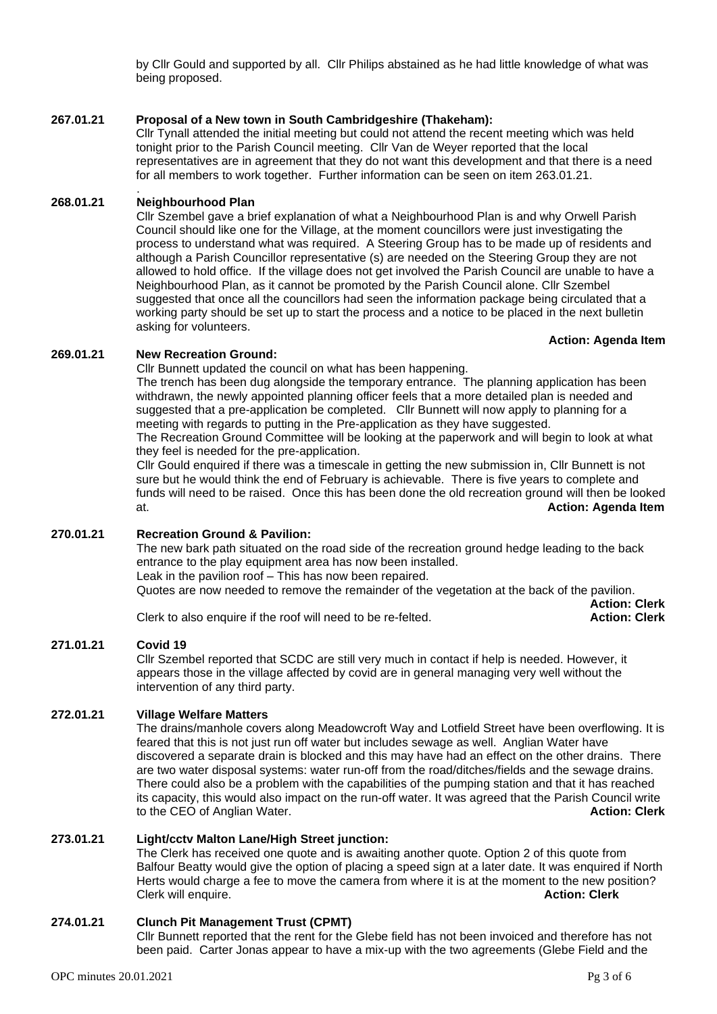by Cllr Gould and supported by all. Cllr Philips abstained as he had little knowledge of what was being proposed.

## **267.01.21 Proposal of a New town in South Cambridgeshire (Thakeham):**

Cllr Tynall attended the initial meeting but could not attend the recent meeting which was held tonight prior to the Parish Council meeting. Cllr Van de Weyer reported that the local representatives are in agreement that they do not want this development and that there is a need for all members to work together. Further information can be seen on item 263.01.21.

## **268.01.21 Neighbourhood Plan**

.

Cllr Szembel gave a brief explanation of what a Neighbourhood Plan is and why Orwell Parish Council should like one for the Village, at the moment councillors were just investigating the process to understand what was required. A Steering Group has to be made up of residents and although a Parish Councillor representative (s) are needed on the Steering Group they are not allowed to hold office. If the village does not get involved the Parish Council are unable to have a Neighbourhood Plan, as it cannot be promoted by the Parish Council alone. Cllr Szembel suggested that once all the councillors had seen the information package being circulated that a working party should be set up to start the process and a notice to be placed in the next bulletin asking for volunteers.

## **Action: Agenda Item**

## **269.01.21 New Recreation Ground:**

Cllr Bunnett updated the council on what has been happening.

The trench has been dug alongside the temporary entrance. The planning application has been withdrawn, the newly appointed planning officer feels that a more detailed plan is needed and suggested that a pre-application be completed. Cllr Bunnett will now apply to planning for a meeting with regards to putting in the Pre-application as they have suggested.

The Recreation Ground Committee will be looking at the paperwork and will begin to look at what they feel is needed for the pre-application.

Cllr Gould enquired if there was a timescale in getting the new submission in, Cllr Bunnett is not sure but he would think the end of February is achievable. There is five years to complete and funds will need to be raised. Once this has been done the old recreation ground will then be looked at. **Action: Agenda Item**

# **270.01.21 Recreation Ground & Pavilion:**

The new bark path situated on the road side of the recreation ground hedge leading to the back entrance to the play equipment area has now been installed. Leak in the pavilion roof – This has now been repaired. Quotes are now needed to remove the remainder of the vegetation at the back of the pavilion. **Action: Clerk**

Clerk to also enquire if the roof will need to be re-felted. **Action: Clerk**

## **271.01.21 Covid 19**

Cllr Szembel reported that SCDC are still very much in contact if help is needed. However, it appears those in the village affected by covid are in general managing very well without the intervention of any third party.

## **272.01.21 Village Welfare Matters**

The drains/manhole covers along Meadowcroft Way and Lotfield Street have been overflowing. It is feared that this is not just run off water but includes sewage as well. Anglian Water have discovered a separate drain is blocked and this may have had an effect on the other drains. There are two water disposal systems: water run-off from the road/ditches/fields and the sewage drains. There could also be a problem with the capabilities of the pumping station and that it has reached its capacity, this would also impact on the run-off water. It was agreed that the Parish Council write to the CEO of Anglian Water. **Action: Clerk**

## **273.01.21 Light/cctv Malton Lane/High Street junction:**

The Clerk has received one quote and is awaiting another quote. Option 2 of this quote from Balfour Beatty would give the option of placing a speed sign at a later date. It was enquired if North Herts would charge a fee to move the camera from where it is at the moment to the new position? Clerk will enquire. **Action: Clerk**

## **274.01.21 Clunch Pit Management Trust (CPMT)**

Cllr Bunnett reported that the rent for the Glebe field has not been invoiced and therefore has not been paid. Carter Jonas appear to have a mix-up with the two agreements (Glebe Field and the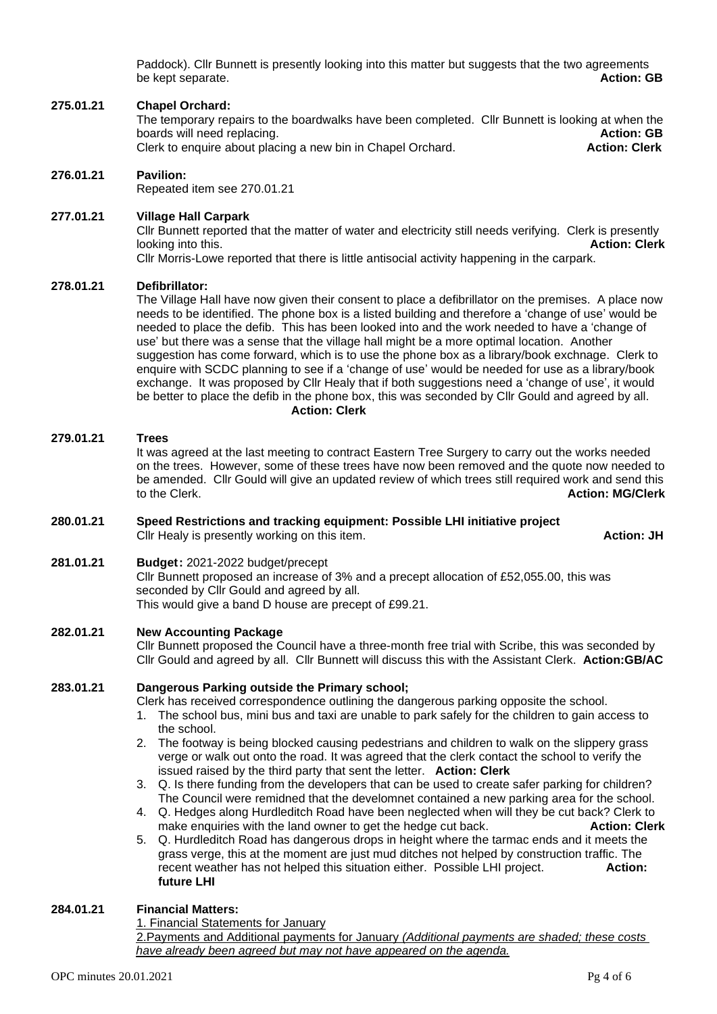Paddock). Cllr Bunnett is presently looking into this matter but suggests that the two agreements be kept separate. **Action: GB** 

## **275.01.21 Chapel Orchard:**

The temporary repairs to the boardwalks have been completed. Cllr Bunnett is looking at when the boards will need replacing. **Action: GB** Clerk to enquire about placing a new bin in Chapel Orchard.

## **276.01.21 Pavilion:**

Repeated item see 270.01.21

## **277.01.21 Village Hall Carpark**

Cllr Bunnett reported that the matter of water and electricity still needs verifying. Clerk is presently<br>Action: Clerk (Action: Clerk looking into this.

Cllr Morris-Lowe reported that there is little antisocial activity happening in the carpark.

## **278.01.21 Defibrillator:**

The Village Hall have now given their consent to place a defibrillator on the premises. A place now needs to be identified. The phone box is a listed building and therefore a 'change of use' would be needed to place the defib. This has been looked into and the work needed to have a 'change of use' but there was a sense that the village hall might be a more optimal location. Another suggestion has come forward, which is to use the phone box as a library/book exchnage. Clerk to enquire with SCDC planning to see if a 'change of use' would be needed for use as a library/book exchange. It was proposed by Cllr Healy that if both suggestions need a 'change of use', it would be better to place the defib in the phone box, this was seconded by Cllr Gould and agreed by all. **Action: Clerk**

#### **279.01.21 Trees**

It was agreed at the last meeting to contract Eastern Tree Surgery to carry out the works needed on the trees. However, some of these trees have now been removed and the quote now needed to be amended. Cllr Gould will give an updated review of which trees still required work and send this to the Clerk. **Action: MG/Clerk**

#### **280.01.21 Speed Restrictions and tracking equipment: Possible LHI initiative project** Cllr Healy is presently working on this item. **Action: JH**

# **281.01.21 Budget:** 2021-2022 budget/precept

Cllr Bunnett proposed an increase of 3% and a precept allocation of £52,055.00, this was seconded by Cllr Gould and agreed by all. This would give a band D house are precept of £99.21.

## **282.01.21 New Accounting Package**

Cllr Bunnett proposed the Council have a three-month free trial with Scribe, this was seconded by Cllr Gould and agreed by all. Cllr Bunnett will discuss this with the Assistant Clerk. **Action:GB/AC**

## **283.01.21 Dangerous Parking outside the Primary school;**

Clerk has received correspondence outlining the dangerous parking opposite the school.

- 1. The school bus, mini bus and taxi are unable to park safely for the children to gain access to the school.
- 2. The footway is being blocked causing pedestrians and children to walk on the slippery grass verge or walk out onto the road. It was agreed that the clerk contact the school to verify the issued raised by the third party that sent the letter. **Action: Clerk**
- 3. Q. Is there funding from the developers that can be used to create safer parking for children? The Council were remidned that the develomnet contained a new parking area for the school.
- 4. Q. Hedges along Hurdleditch Road have been neglected when will they be cut back? Clerk to make enquiries with the land owner to get the hedge cut back. **Action: Clerk**
- 5. Q. Hurdleditch Road has dangerous drops in height where the tarmac ends and it meets the grass verge, this at the moment are just mud ditches not helped by construction traffic. The recent weather has not helped this situation either. Possible LHI project. **Action: future LHI**

## **284.01.21 Financial Matters:**

1. Financial Statements for January

2.Payments and Additional payments for January *(Additional payments are shaded; these costs have already been agreed but may not have appeared on the agenda.*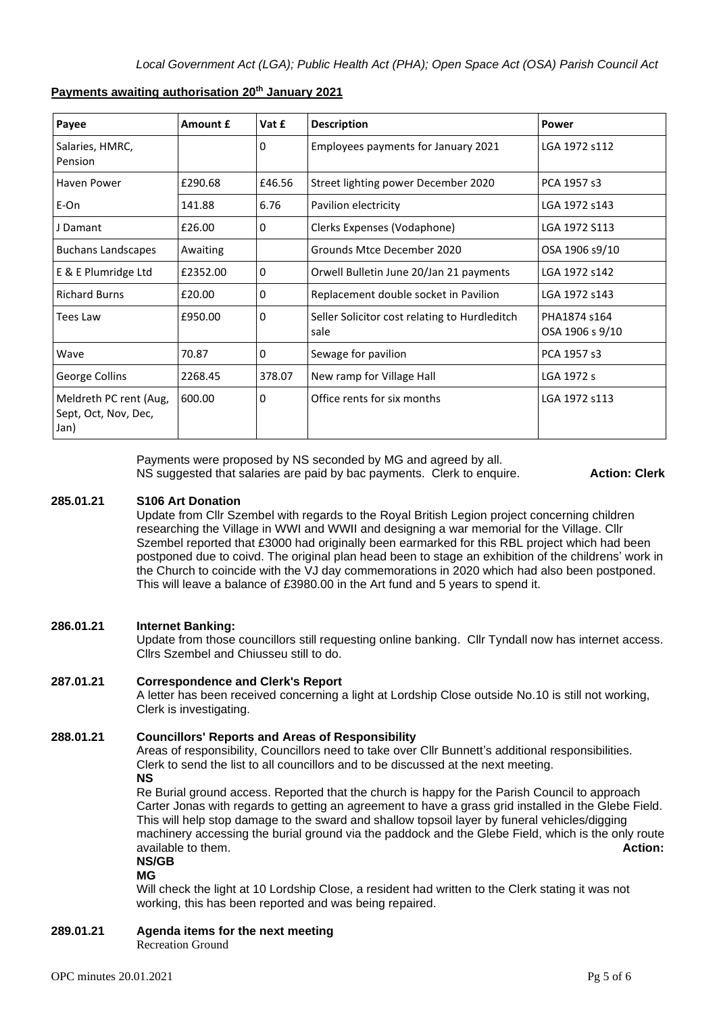| Payee                                                  | Amount £ | Vat £  | <b>Description</b>                                    | Power                           |
|--------------------------------------------------------|----------|--------|-------------------------------------------------------|---------------------------------|
| Salaries, HMRC,<br>Pension                             |          | 0      | Employees payments for January 2021                   | LGA 1972 s112                   |
| Haven Power                                            | £290.68  | £46.56 | Street lighting power December 2020                   | PCA 1957 s3                     |
| E-On                                                   | 141.88   | 6.76   | Pavilion electricity                                  | LGA 1972 s143                   |
| J Damant                                               | £26.00   | 0      | Clerks Expenses (Vodaphone)                           | LGA 1972 S113                   |
| <b>Buchans Landscapes</b>                              | Awaiting |        | Grounds Mtce December 2020                            | OSA 1906 s9/10                  |
| E & E Plumridge Ltd                                    | £2352.00 | 0      | Orwell Bulletin June 20/Jan 21 payments               | LGA 1972 s142                   |
| <b>Richard Burns</b>                                   | £20.00   | 0      | Replacement double socket in Pavilion                 | LGA 1972 s143                   |
| Tees Law                                               | £950.00  | 0      | Seller Solicitor cost relating to Hurdleditch<br>sale | PHA1874 s164<br>OSA 1906 s 9/10 |
| Wave                                                   | 70.87    | 0      | Sewage for pavilion                                   | PCA 1957 s3                     |
| George Collins                                         | 2268.45  | 378.07 | New ramp for Village Hall                             | LGA 1972 s                      |
| Meldreth PC rent (Aug,<br>Sept, Oct, Nov, Dec,<br>Jan) | 600.00   | 0      | Office rents for six months                           | LGA 1972 s113                   |

## **Payments awaiting authorisation 20th January 2021**

Payments were proposed by NS seconded by MG and agreed by all. NS suggested that salaries are paid by bac payments. Clerk to enquire. **Action: Clerk**

## **285.01.21 S106 Art Donation**

Update from Cllr Szembel with regards to the Royal British Legion project concerning children researching the Village in WWI and WWII and designing a war memorial for the Village. Cllr Szembel reported that £3000 had originally been earmarked for this RBL project which had been postponed due to coivd. The original plan head been to stage an exhibition of the childrens' work in the Church to coincide with the VJ day commemorations in 2020 which had also been postponed. This will leave a balance of £3980.00 in the Art fund and 5 years to spend it.

## **286.01.21 Internet Banking:**

Update from those councillors still requesting online banking. Cllr Tyndall now has internet access. Cllrs Szembel and Chiusseu still to do.

## **287.01.21 Correspondence and Clerk's Report**

A letter has been received concerning a light at Lordship Close outside No.10 is still not working, Clerk is investigating.

## **288.01.21 Councillors' Reports and Areas of Responsibility**

Areas of responsibility, Councillors need to take over Cllr Bunnett's additional responsibilities. Clerk to send the list to all councillors and to be discussed at the next meeting. **NS**

Re Burial ground access. Reported that the church is happy for the Parish Council to approach Carter Jonas with regards to getting an agreement to have a grass grid installed in the Glebe Field. This will help stop damage to the sward and shallow topsoil layer by funeral vehicles/digging machinery accessing the burial ground via the paddock and the Glebe Field, which is the only route available to them. **Action:** 

**NS/GB**

**MG**

Will check the light at 10 Lordship Close, a resident had written to the Clerk stating it was not working, this has been reported and was being repaired.

**289.01.21 Agenda items for the next meeting**

Recreation Ground